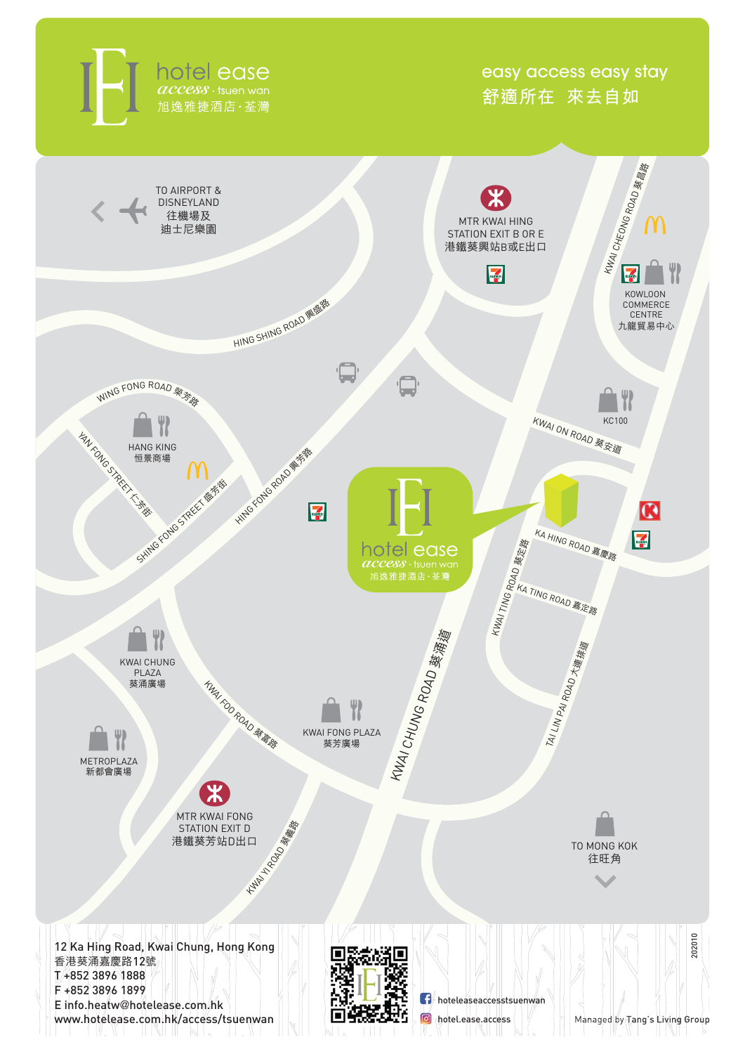hotel ease 旭逸雅捷酒店·荃灣

easy access easy stay **舒適所在 來去自如**